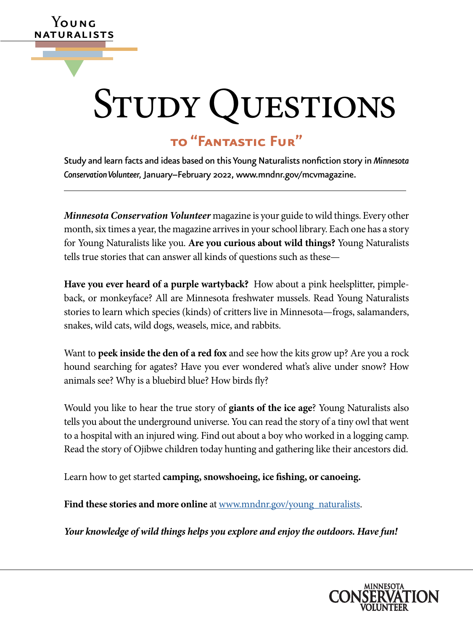# STUDY QUESTIONS

# **to "Fantastic Fur"**

**Y**oung naturalists

▼

Study and learn facts and ideas based on this Young Naturalists nonfiction story in *Minnesota Conservation Volunteer,* January–February 2022, [www.mndnr.gov/mcvmagazine.](http://www.mndnr.gov/mcvmagazine)

*Minnesota Conservation Volunteer* magazine is your guide to wild things. Every other month, six times a year, the magazine arrives in your school library. Each one has a story for Young Naturalists like you. **Are you curious about wild things?** Young Naturalists tells true stories that can answer all kinds of questions such as these—

**Have you ever heard of a purple wartyback?** How about a pink heelsplitter, pimpleback, or monkeyface? All are Minnesota freshwater mussels. Read Young Naturalists stories to learn which species (kinds) of critters live in Minnesota—frogs, salamanders, snakes, wild cats, wild dogs, weasels, mice, and rabbits.

Want to **peek inside the den of a red fox** and see how the kits grow up? Are you a rock hound searching for agates? Have you ever wondered what's alive under snow? How animals see? Why is a bluebird blue? How birds fly?

Would you like to hear the true story of **giants of the ice age**? Young Naturalists also tells you about the underground universe. You can read the story of a tiny owl that went to a hospital with an injured wing. Find out about a boy who worked in a logging camp. Read the story of Ojibwe children today hunting and gathering like their ancestors did.

Learn how to get started **camping, snowshoeing, ice fishing, or canoeing.**

Find these stories and more online at [www.mndnr.gov/young\\_naturalists](http://www.dnr.state.mn.us/mcvmagazine/young-naturalists.html).

*Your knowledge of wild things helps you explore and enjoy the outdoors. Have fun!*

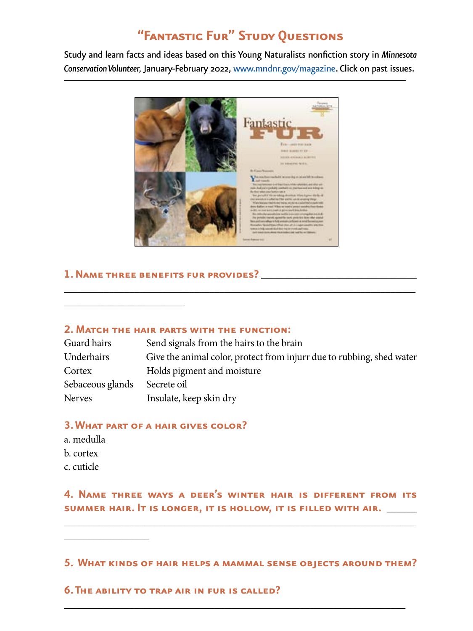# **"Fantastic Fur" Study Questions**

Study and learn facts and ideas based on this Young Naturalists nonfiction story in *Minnesota Conservation Volunteer,* January-February 2022, [www.mndnr.gov/magazine](http://www.mndnr.gov/magazine). Click on past issues.



# **1. Name three benefits fur provides?** \_\_\_\_\_\_\_\_\_\_\_\_\_\_\_\_\_\_\_\_\_\_\_\_\_\_\_\_\_\_\_

\_\_\_\_\_\_\_\_\_\_\_\_\_\_\_\_\_\_\_\_\_\_\_\_

#### **2. Match the hair parts with the function:**

| Guard hairs      | Send signals from the hairs to the brain                              |
|------------------|-----------------------------------------------------------------------|
| Underhairs       | Give the animal color, protect from injurr due to rubbing, shed water |
| Cortex           | Holds pigment and moisture                                            |
| Sebaceous glands | Secrete oil                                                           |
| Nerves           | Insulate, keep skin dry                                               |

\_\_\_\_\_\_\_\_\_\_\_\_\_\_\_\_\_\_\_\_\_\_\_\_\_\_\_\_\_\_\_\_\_\_\_\_\_\_\_\_\_\_\_\_\_\_\_\_\_\_\_\_\_\_\_\_\_\_\_\_\_\_\_\_\_\_\_\_\_\_

#### **3. What part of a hair gives color?**

a. medulla b. cortex c. cuticle

\_\_\_\_\_\_\_\_\_\_\_\_\_\_\_\_\_

**4. Name three ways a deer's winter hair is different from its summer hair. It is longer, it is hollow, it is filled with air.** \_\_\_\_\_\_

\_\_\_\_\_\_\_\_\_\_\_\_\_\_\_\_\_\_\_\_\_\_\_\_\_\_\_\_\_\_\_\_\_\_\_\_\_\_\_\_\_\_\_\_\_\_\_\_\_\_\_\_\_\_\_\_\_\_\_\_\_\_\_\_\_\_\_\_\_\_

**5. What kinds of hair helps a mammal sense objects around them?**

\_\_\_\_\_\_\_\_\_\_\_\_\_\_\_\_\_\_\_\_\_\_\_\_\_\_\_\_\_\_\_\_\_\_\_\_\_\_\_\_\_\_\_\_\_\_\_\_\_\_\_\_\_\_\_\_\_\_\_\_\_\_\_\_\_\_\_\_

**6. The ability to trap air in fur is called?**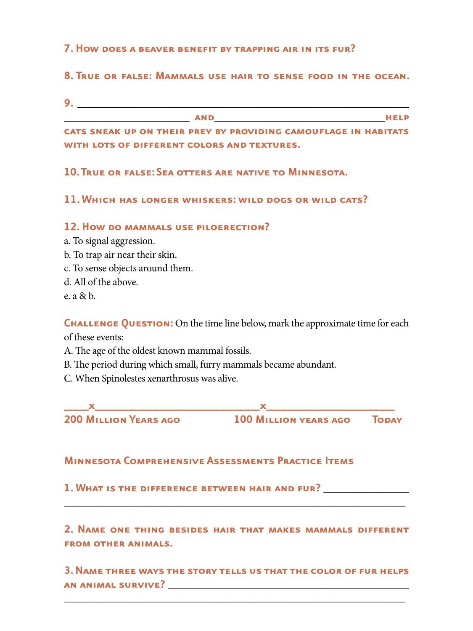#### **7. How does a beaver benefit by trapping air in its fur?**

## **8. True or false: Mammals use hair to sense food in the ocean.**

**9.** \_\_\_\_\_\_\_\_\_\_\_\_\_\_\_\_\_\_\_\_\_\_\_\_\_\_\_\_\_\_\_\_\_\_\_\_\_\_\_\_\_\_\_\_\_\_\_\_\_\_\_\_\_\_\_\_\_\_\_\_\_\_\_\_\_\_

\_\_\_\_\_\_\_\_\_\_\_\_\_\_\_\_\_\_\_\_\_\_\_\_\_ **and**\_\_\_\_\_\_\_\_\_\_\_\_\_\_\_\_\_\_\_\_\_\_\_\_\_\_\_\_\_\_\_\_\_\_**help** 

**cats sneak up on their prey by providing camouflage in habitats with lots of different colors and textures.** 

## **10. True or false: Sea otters are native to Minnesota.**

## **11. Which has longer whiskers: wild dogs or wild cats?**

#### **12. How do mammals use piloerection?**

- a. To signal aggression.
- b. To trap air near their skin.
- c. To sense objects around them.
- d. All of the above.
- e. a & b.

**CHALLENGE QUESTION:** On the time line below, mark the approximate time for each of these events:

- A. The age of the oldest known mammal fossils.
- B. The period during which small, furry mammals became abundant.
- C. When Spinolestes xenarthrosus was alive.

**\_\_\_\_x\_\_\_\_\_\_\_\_\_\_\_\_\_\_\_\_\_\_\_\_\_\_\_\_\_\_\_x\_\_\_\_\_\_\_\_\_\_\_\_\_\_\_\_\_\_\_\_\_ 200 Million Years ago 100 Million years ago Today**

#### **Minnesota Comprehensive Assessments Practice Items**

**1. What is the difference between hair and fur?** \_\_\_\_\_\_\_\_\_\_\_\_\_\_\_\_\_

**2. Name one thing besides hair that makes mammals different from other animals.**

\_\_\_\_\_\_\_\_\_\_\_\_\_\_\_\_\_\_\_\_\_\_\_\_\_\_\_\_\_\_\_\_\_\_\_\_\_\_\_\_\_\_\_\_\_\_\_\_\_\_\_\_\_\_\_\_\_\_\_\_\_\_\_\_\_\_\_\_

**3. Name three ways the story tells us that the color of fur helps an animal survive?** \_\_\_\_\_\_\_\_\_\_\_\_\_\_\_\_\_\_\_\_\_\_\_\_\_\_\_\_\_\_\_\_\_\_\_\_\_\_\_\_\_\_\_\_\_\_\_\_

\_\_\_\_\_\_\_\_\_\_\_\_\_\_\_\_\_\_\_\_\_\_\_\_\_\_\_\_\_\_\_\_\_\_\_\_\_\_\_\_\_\_\_\_\_\_\_\_\_\_\_\_\_\_\_\_\_\_\_\_\_\_\_\_\_\_\_\_